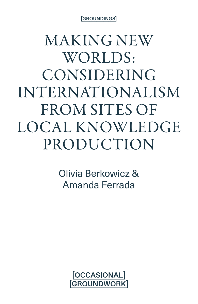[GROUNDINGS]

MAKING NEW WORLDS: CONSIDERING INTERNATIONALISM FROM SITES OF LOCAL KNOWLEDGE PRODUCTION

> Olivia Berkowicz & Amanda Ferrada

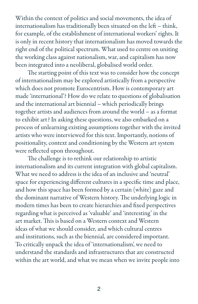Within the context of politics and social movements, the idea of internationalism has traditionally been situated on the left – think, for example, of the establishment of international workers' rights. It is only in recent history that internationalism has moved towards the right end of the political spectrum. What used to centre on uniting the working class against nationalism, war, and capitalism has now been integrated into a neoliberal, globalised world order.

The starting point of this text was to consider how the concept of internationalism may be explored artistically from a perspective which does not promote Eurocentrism. How is contemporary art made 'international'? How do we relate to questions of globalisation and the international art biennial – which periodically brings together artists and audiences from around the world – as a format to exhibit art? In asking these questions, we also embarked on a process of unlearning existing assumptions together with the invited artists who were interviewed for this text. Importantly, notions of positionality, context and conditioning by the Western art system were reflected upon throughout.

The challenge is to rethink our relationship to artistic internationalism and its current integration with global capitalism. What we need to address is the idea of an inclusive and 'neutral' space for experiencing different cultures in a specific time and place, and how this space has been formed by a certain (white) gaze and the dominant narrative of Western history. The underlying logic in modern times has been to create hierarchies and fixed perspectives regarding what is perceived as 'valuable' and 'interesting' in the art market. This is based on a Western context and Western ideas of what we should consider, and which cultural centres and institutions, such as the biennial, are considered important. To critically unpack the idea of 'internationalism', we need to understand the standards and infrastructures that are constructed within the art world, and what we mean when we invite people into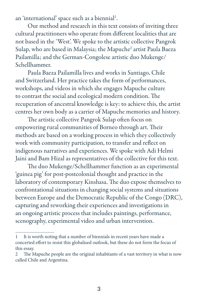an 'international' space such as a biennial $^1$ .

Our method and research in this text consists of inviting three cultural practitioners who operate from different localities that are not based in the 'West'. We spoke to the artistic collective Pangrok Sulap, who are based in Malaysia; the Mapuche<sup>2</sup> artist Paula Baeza Pailamilla; and the German-Congolese artistic duo Mukenge/ Schellhammer.

Paula Baeza Pailamilla lives and works in Santiago, Chile and Switzerland. Her practice takes the form of performances, workshops, and videos in which she engages Mapuche culture to contrast the social and ecological modern condition. The recuperation of ancestral knowledge is key: to achieve this, the artist centres her own body as a carrier of Mapuche memories and history.

The artistic collective Pangrok Sulap often focus on empowering rural communities of Borneo through art. Their methods are based on a working process in which they collectively work with community participation, to transfer and reflect on indigenous narratives and experiences. We spoke with Adi Helmi Jaini and Bam Hizal as representatives of the collective for this text.

The duo Mukenge/Schellhammer function as an experimental 'guinea pig' for post-postcolonial thought and practice in the laboratory of contemporary Kinshasa. The duo expose themselves to confrontational situations in changing social systems and situations between Europe and the Democratic Republic of the Congo (DRC), capturing and reworking their experiences and investigations in an ongoing artistic process that includes paintings, performance, scenography, experimental video and urban intervention.

<sup>1</sup> It is worth noting that a number of biennials in recent years have made a concerted effort to resist this globalised outlook, but these do not form the focus of this essay.

<sup>2</sup> The Mapuche people are the original inhabitants of a vast territory in what is now called Chile and Argentina.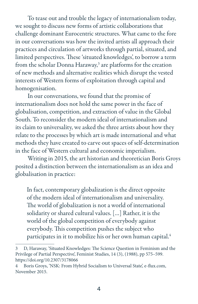To tease out and trouble the legacy of internationalism today, we sought to discuss new forms of artistic collaborations that challenge dominant Eurocentric structures. What came to the fore in our conversations was how the invited artists all approach their practices and circulation of artworks through partial, situated, and limited perspectives. These 'situated knowledges', to borrow a term from the scholar Donna Haraway,<sup>3</sup> are platforms for the creation of new methods and alternative realities which disrupt the vested interests of Western forms of exploitation through capital and homogenisation.

In our conversations, we found that the promise of internationalism does not hold the same power in the face of globalisation, competition, and extraction of value in the Global South. To reconsider the modern ideal of internationalism and its claim to universality, we asked the three artists about how they relate to the processes by which art is made international and what methods they have created to carve out spaces of self-determination in the face of Western cultural and economic imperialism.

Writing in 2015, the art historian and theoretician Boris Groys posited a distinction between the internationalism as an idea and globalisation in practice:

In fact, contemporary globalization is the direct opposite of the modern ideal of internationalism and universality. The world of globalization is not a world of international solidarity or shared cultural values. […] Rather, it is the world of the global competition of everybody against everybody. This competition pushes the subject who participates in it to mobilize his or her own human capital.<sup>4</sup>

<sup>3</sup> D, Haraway, 'Situated Knowledges: The Science Question in Feminism and the Privilege of Partial Perspective', Feminist Studies, 14 (3), (1988), pp 575–599. https://doi.org/10.2307/3178066

<sup>4</sup> Boris Groys, 'NSK: From Hybrid Socialism to Universal State', e-flux.com, November 2015.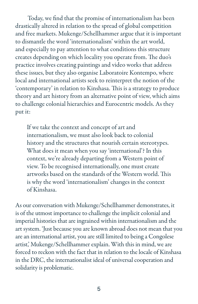Today, we find that the promise of internationalism has been drastically altered in relation to the spread of global competition and free markets. Mukenge/Schellhammer argue that it is important to dismantle the word 'internationalism' within the art world, and especially to pay attention to what conditions this structure creates depending on which locality you operate from. The duo's practice involves creating paintings and video works that address these issues, but they also organise Laboratoire Kontempo, where local and international artists seek to reinterpret the notion of the 'contemporary' in relation to Kinshasa. This is a strategy to produce theory and art history from an alternative point of view, which aims to challenge colonial hierarchies and Eurocentric models. As they put it:

If we take the context and concept of art and internationalism, we must also look back to colonial history and the structures that nourish certain stereotypes. What does it mean when you say 'international'? In this context, we're already departing from a Western point of view. To be recognised internationally, one must create artworks based on the standards of the Western world. This is why the word 'internationalism' changes in the context of Kinshasa.

As our conversation with Mukenge/Schellhammer demonstrates, it is of the utmost importance to challenge the implicit colonial and imperial histories that are ingrained within internationalism and the art system. 'Just because you are known abroad does not mean that you are an international artist, you are still limited to being a Congolese artist,' Mukenge/Schellhammer explain. With this in mind, we are forced to reckon with the fact that in relation to the locale of Kinshasa in the DRC, the internationalist ideal of universal cooperation and solidarity is problematic.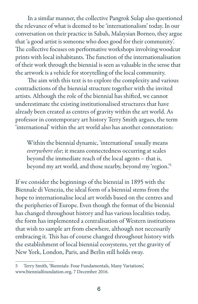In a similar manner, the collective Pangrok Sulap also questioned the relevance of what is deemed to be 'internationalism' today. In our conversation on their practice in Sabah, Malaysian Borneo, they argue that 'a good artist is someone who does good for their community'. The collective focuses on performative workshops involving woodcut prints with local inhabitants. The function of the internationalisation of their work through the biennial is seen as valuable in the sense that the artwork is a vehicle for storytelling of the local community.

The aim with this text is to explore the complexity and various contradictions of the biennial structure together with the invited artists. Although the role of the biennial has shifted, we cannot underestimate the existing institutionalised structures that have already been created as centres of gravity within the art world. As professor in contemporary art history Terry Smith argues, the term 'international' within the art world also has another connotation:

Within the biennial dynamic, 'international' usually means *everywhere else*; it means connectedness occurring at scales beyond the immediate reach of the local agents – that is, beyond my art world, and those nearby, beyond my 'region.'5

If we consider the beginnings of the biennial in 1895 with the Biennale di Venezia, the ideal form of a biennial stems from the hope to internationalise local art worlds based on the centres and the peripheries of Europe. Even though the format of the biennial has changed throughout history and has various localities today, the form has implemented a centralisation of Western institutions that wish to sample art from elsewhere, although not necessarily embracing it. This has of course changed throughout history with the establishment of local biennial ecosystems, yet the gravity of New York, London, Paris, and Berlin still holds sway.

<sup>5</sup> Terry Smith, 'Biennials: Four Fundamentals, Many Variations', www.biennialfoundation.org, 7 December 2016.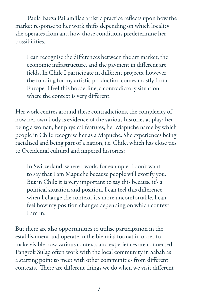Paula Baeza Pailamilla's artistic practice reflects upon how the market response to her work shifts depending on which locality she operates from and how those conditions predetermine her possibilities.

I can recognise the differences between the art market, the economic infrastructure, and the payment in different art fields. In Chile I participate in different projects, however the funding for my artistic production comes mostly from Europe. I feel this borderline, a contradictory situation where the context is very different.

Her work centres around these contradictions, the complexity of how her own body is evidence of the various histories at play: her being a woman, her physical features, her Mapuche name by which people in Chile recognise her as a Mapuche. She experiences being racialised and being part of a nation, i.e. Chile, which has close ties to Occidental cultural and imperial histories:

In Switzerland, where I work, for example, I don't want to say that I am Mapuche because people will exotify you. But in Chile it is very important to say this because it's a political situation and position. I can feel this difference when I change the context, it's more uncomfortable. I can feel how my position changes depending on which context I am in.

But there are also opportunities to utilise participation in the establishment and operate in the biennial format in order to make visible how various contexts and experiences are connected. Pangrok Sulap often work with the local community in Sabah as a starting point to meet with other communities from different contexts. 'There are different things we do when we visit different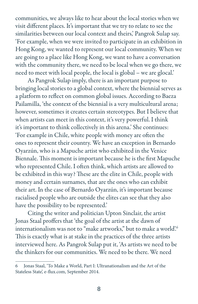communities, we always like to hear about the local stories when we visit different places. It's important that we try to relate to see the similarities between our local context and theirs,' Pangrok Sulap say. 'For example, when we were invited to participate in an exhibition in Hong Kong, we wanted to represent our local community. When we are going to a place like Hong Kong, we want to have a conversation with the community there, we need to be local when we go there, we need to meet with local people, the local is global – we are glocal.'

As Pangrok Sulap imply, there is an important purpose to bringing local stories to a global context, where the biennial serves as a platform to reflect on common global issues. According to Baeza Pailamilla, 'the context of the biennial is a very multicultural arena; however, sometimes it creates certain stereotypes. But I believe that when artists can meet in this context, it's very powerful. I think it's important to think collectively in this arena.' She continues: 'For example in Chile, white people with money are often the ones to represent their country. We have an exception in Bernardo Oyarzún, who is a Mapuche artist who exhibited in the Venice Biennale. This moment is important because he is the first Mapuche who represented Chile. I often think, which artists are allowed to be exhibited in this way? These are the elite in Chile, people with money and certain surnames, that are the ones who can exhibit their art. In the case of Bernardo Oyarzún, it's important because racialised people who are outside the elites can see that they also have the possibility to be represented.'

Citing the writer and politician Upton Sinclair, the artist Jonas Staal proffers that 'the goal of the artist at the dawn of internationalism was not to "make artworks," but to make a world'.<sup>6</sup> This is exactly what is at stake in the practices of the three artists interviewed here. As Pangrok Sulap put it, 'As artists we need to be the thinkers for our communities. We need to be there. We need

<sup>6</sup> Jonas Staal, 'To Make a World, Part I: Ultranationalism and the Art of the Stateless State', e-flux.com, September 2014.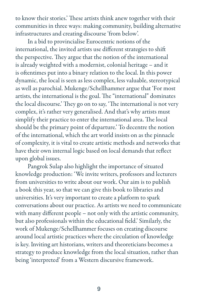to know their stories.' These artists think anew together with their communities in three ways: making community, building alternative infrastructures and creating discourse 'from below'.

In a bid to provincialise Eurocentric notions of the international, the invited artists use different strategies to shift the perspective. They argue that the notion of the international is already weighted with a modernist, colonial heritage – and it is oftentimes put into a binary relation to the local. In this power dynamic, the local is seen as less complex, less valuable, stereotypical as well as parochial. Mukenge/Schellhammer argue that 'For most artists, the international is the goal. The "international" dominates the local discourse.' They go on to say, 'The international is not very complex, it's rather very generalised. And that's why artists must simplify their practice to enter the international area. The local should be the primary point of departure.' To decentre the notion of the international, which the art world insists on as the pinnacle of complexity, it is vital to create artistic methods and networks that have their own internal logic based on local demands that reflect upon global issues.

Pangrok Sulap also highlight the importance of situated knowledge production: 'We invite writers, professors and lecturers from universities to write about our work. Our aim is to publish a book this year, so that we can give this book to libraries and universities. It's very important to create a platform to spark conversations about our practice. As artists we need to communicate with many different people – not only with the artistic community, but also professionals within the educational field.' Similarly, the work of Mukenge/Schellhammer focuses on creating discourse around local artistic practices where the circulation of knowledge is key. Inviting art historians, writers and theoreticians becomes a strategy to produce knowledge from the local situation, rather than being 'interpreted' from a Western discursive framework.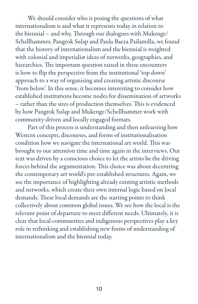We should consider who is posing the questions of what internationalism is and what it represents today in relation to the biennial – and why. Through our dialogues with Mukenge/ Schellhammer, Pangrok Sulap and Paula Baeza Pailamilla, we found that the history of internationalism and the biennial is weighted with colonial and imperialist ideas of networks, geographies, and hierarchies. The important question raised in these encounters is how to flip the perspective from the institutional 'top down' approach to a way of organising and creating artistic discourse 'from below'. In this sense, it becomes interesting to consider how established institutions become nodes for dissemination of artworks – rather than the sites of production themselves. This is evidenced by how Pangrok Sulap and Mukenge/Schellhammer work with community-driven and locally engaged formats.

Part of this process is understanding and then unlearning how Western concepts, discourses, and forms of institutionalisation condition how we navigate the international art world. This was brought to our attention time and time again in the interviews. Our text was driven by a conscious choice to let the artists be the driving forces behind the argumentation. This choice was about decentring the contemporary art world's pre-established structures. Again, we see the importance of highlighting already existing artistic methods and networks, which create their own internal logic based on local demands. These local demands are the starting points to think collectively about common global issues. We see how the local is the relevant point of departure to meet different needs. Ultimately, it is clear that local communities and indigenous perspectives play a key role in rethinking and establishing new forms of understanding of internationalism and the biennial today.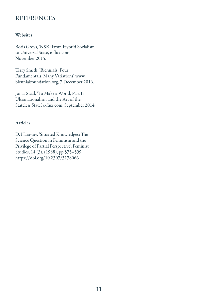## **REFERENCES**

## **Websites**

Boris Groys, 'NSK: From Hybrid Socialism to Universal State', e-flux.com, November 2015.

Terry Smith, 'Biennials: Four Fundamentals, Many Variations', www. biennialfoundation.org, 7 December 2016.

Jonas Staal, 'To Make a World, Part I: Ultranationalism and the Art of the Stateless State', e-flux.com, September 2014.

## Articles

D, Haraway, 'Situated Knowledges: The Science Question in Feminism and the Privilege of Partial Perspective', Feminist Studies, 14 (3), (1988), pp 575–599. https://doi.org/10.2307/3178066